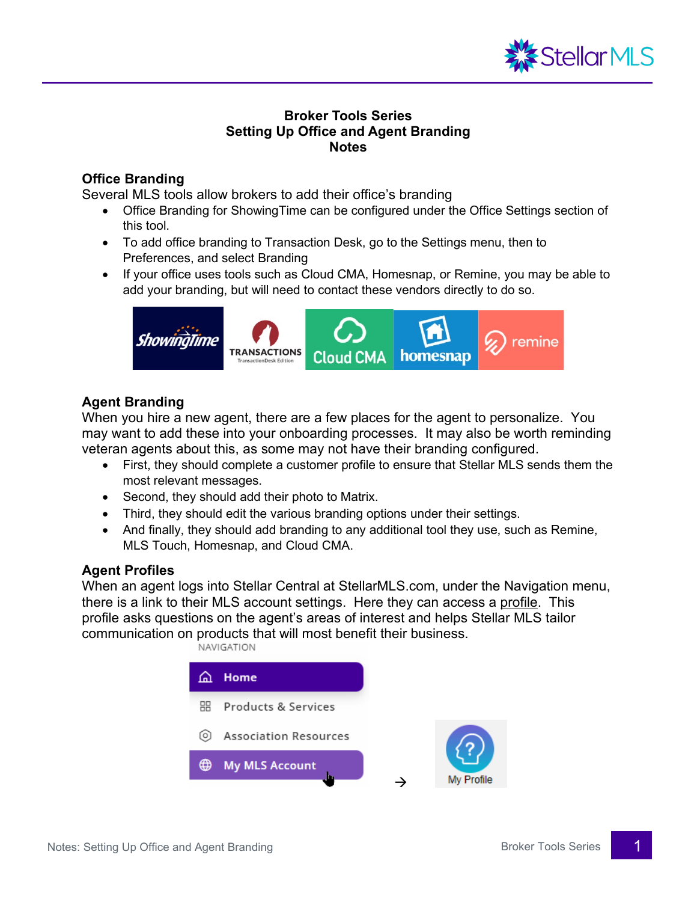

# **Broker Tools Series Setting Up Office and Agent Branding Notes**

# **Office Branding**

Several MLS tools allow brokers to add their office's branding

- Office Branding for ShowingTime can be configured under the Office Settings section of this tool.
- To add office branding to Transaction Desk, go to the Settings menu, then to Preferences, and select Branding
- If your office uses tools such as Cloud CMA, Homesnap, or Remine, you may be able to add your branding, but will need to contact these vendors directly to do so.



# **Agent Branding**

When you hire a new agent, there are a few places for the agent to personalize. You may want to add these into your onboarding processes. It may also be worth reminding veteran agents about this, as some may not have their branding configured.

- First, they should complete a customer profile to ensure that Stellar MLS sends them the most relevant messages.
- Second, they should add their photo to Matrix.
- Third, they should edit the various branding options under their settings.
- And finally, they should add branding to any additional tool they use, such as Remine, MLS Touch, Homesnap, and Cloud CMA.

### **Agent Profiles**

When an agent logs into Stellar Central at StellarMLS.com, under the Navigation menu, there is a link to their MLS account settings. Here they can access a profile. This profile asks questions on the agent's areas of interest and helps Stellar MLS tailor communication on products that will most benefit their business.

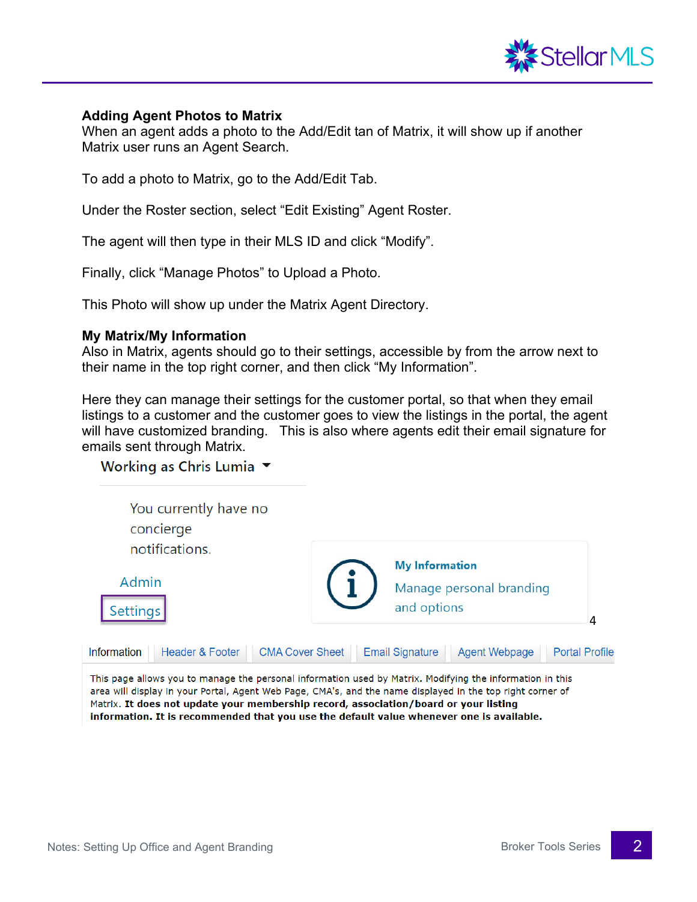

#### **Adding Agent Photos to Matrix**

When an agent adds a photo to the Add/Edit tan of Matrix, it will show up if another Matrix user runs an Agent Search.

To add a photo to Matrix, go to the Add/Edit Tab.

Under the Roster section, select "Edit Existing" Agent Roster.

The agent will then type in their MLS ID and click "Modify".

Finally, click "Manage Photos" to Upload a Photo.

This Photo will show up under the Matrix Agent Directory.

#### **My Matrix/My Information**

Also in Matrix, agents should go to their settings, accessible by from the arrow next to their name in the top right corner, and then click "My Information".

Here they can manage their settings for the customer portal, so that when they email listings to a customer and the customer goes to view the listings in the portal, the agent will have customized branding. This is also where agents edit their email signature for emails sent through Matrix.

Working as Chris Lumia ▼

| You currently have no<br>concierge<br>notifications.                                                      |                                                                  |   |
|-----------------------------------------------------------------------------------------------------------|------------------------------------------------------------------|---|
| Admin<br>Settings                                                                                         | <b>My Information</b><br>Manage personal branding<br>and options | 4 |
| Header & Footer<br><b>CMA Cover Sheet</b><br>Information                                                  | <b>Portal Profile</b><br><b>Email Signature</b><br>Agent Webpage |   |
| This page allows you to manage the personal information used by Matrix. Modifying the information in this |                                                                  |   |

area will display in your Portal, Agent Web Page, CMA's, and the name displayed in the top right corner of Matrix. It does not update your membership record, association/board or your listing information. It is recommended that you use the default value whenever one is available.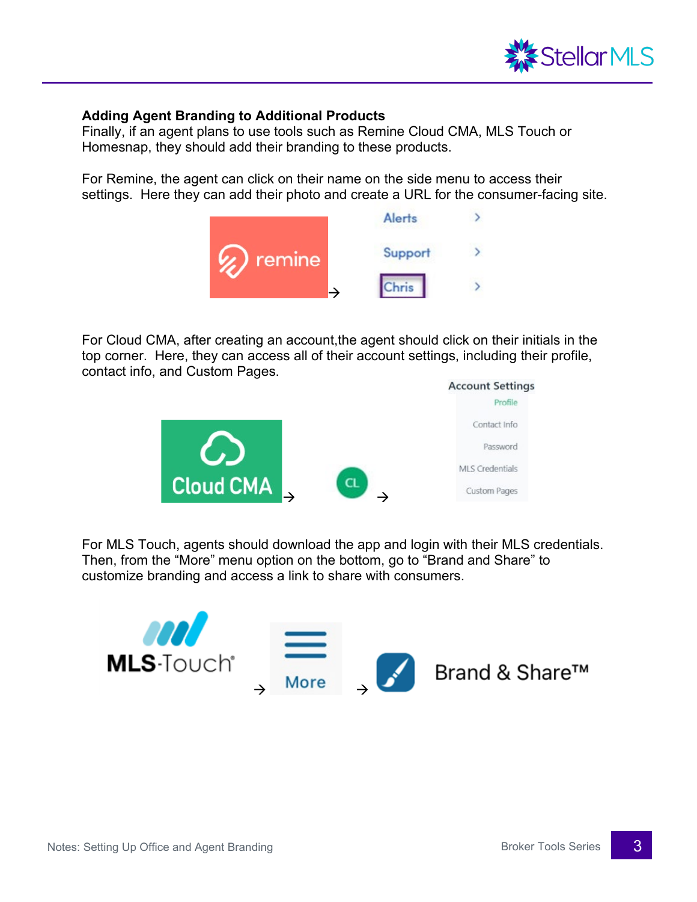

### **Adding Agent Branding to Additional Products**

Finally, if an agent plans to use tools such as Remine Cloud CMA, MLS Touch or Homesnap, they should add their branding to these products.

For Remine, the agent can click on their name on the side menu to access their settings. Here they can add their photo and create a URL for the consumer-facing site.



For Cloud CMA, after creating an account,the agent should click on their initials in the top corner. Here, they can access all of their account settings, including their profile, contact info, and Custom Pages.



For MLS Touch, agents should download the app and login with their MLS credentials. Then, from the "More" menu option on the bottom, go to "Brand and Share" to customize branding and access a link to share with consumers.